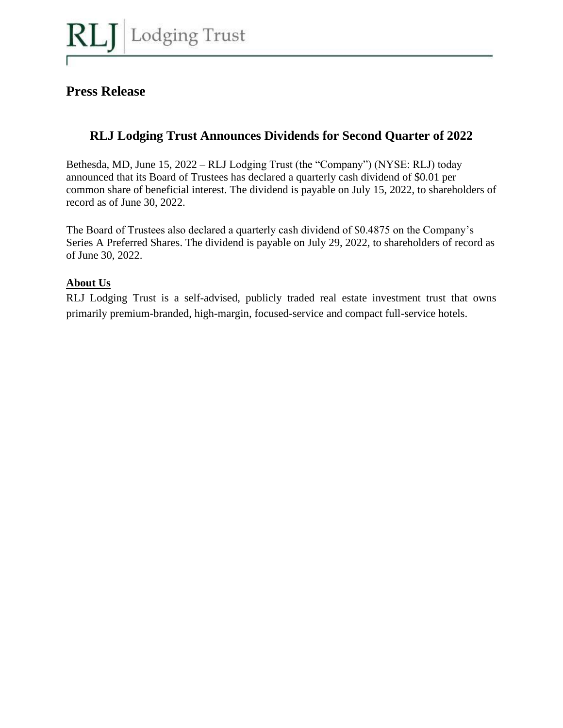

## **Press Release**

# **RLJ Lodging Trust Announces Dividends for Second Quarter of 2022**

Bethesda, MD, June 15, 2022 – RLJ Lodging Trust (the "Company") (NYSE: RLJ) today announced that its Board of Trustees has declared a quarterly cash dividend of \$0.01 per common share of beneficial interest. The dividend is payable on July 15, 2022, to shareholders of record as of June 30, 2022.

The Board of Trustees also declared a quarterly cash dividend of \$0.4875 on the Company's Series A Preferred Shares. The dividend is payable on July 29, 2022, to shareholders of record as of June 30, 2022.

### **About Us**

RLJ Lodging Trust is a self-advised, publicly traded real estate investment trust that owns primarily premium-branded, high-margin, focused-service and compact full-service hotels.